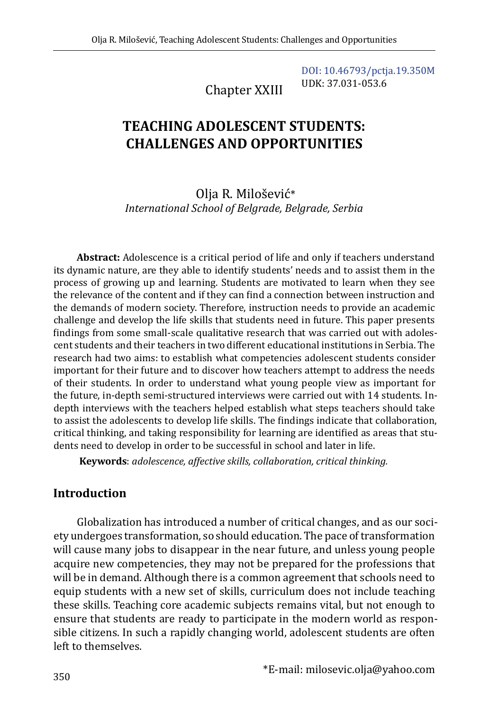Chapter XXIII [DOI: 10.46793/pctja.19.350M](https://doi.org/10.46793/pctja.19.350M) UDK: 37.031-053.6

# **TEACHING ADOLESCENT STUDENTS: CHALLENGES AND OPPORTUNITIES**

Olja R. Milošević\* *International School of Belgrade, Belgrade, Serbia*

**Abstract:** Adolescence is a critical period of life and only if teachers understand its dynamic nature, are they able to identify students' needs and to assist them in the process of growing up and learning. Students are motivated to learn when they see the relevance of the content and if they can find a connection between instruction and the demands of modern society. Therefore, instruction needs to provide an academic challenge and develop the life skills that students need in future. This paper presents findings from some small-scale qualitative research that was carried out with adolescent students and their teachers in two different educational institutions in Serbia. The research had two aims: to establish what competencies adolescent students consider important for their future and to discover how teachers attempt to address the needs of their students. In order to understand what young people view as important for the future, in-depth semi-structured interviews were carried out with 14 students. Indepth interviews with the teachers helped establish what steps teachers should take to assist the adolescents to develop life skills. The findings indicate that collaboration, critical thinking, and taking responsibility for learning are identified as areas that students need to develop in order to be successful in school and later in life.

**Keywords**: *adolescence, affective skills, collaboration, critical thinking.*

## **Introduction**

Globalization has introduced a number of critical changes, and as our society undergoes transformation, so should education. The pace of transformation will cause many jobs to disappear in the near future, and unless young people acquire new competencies, they may not be prepared for the professions that will be in demand. Although there is a common agreement that schools need to equip students with a new set of skills, curriculum does not include teaching these skills. Teaching core academic subjects remains vital, but not enough to ensure that students are ready to participate in the modern world as responsible citizens. In such a rapidly changing world, adolescent students are often left to themselves.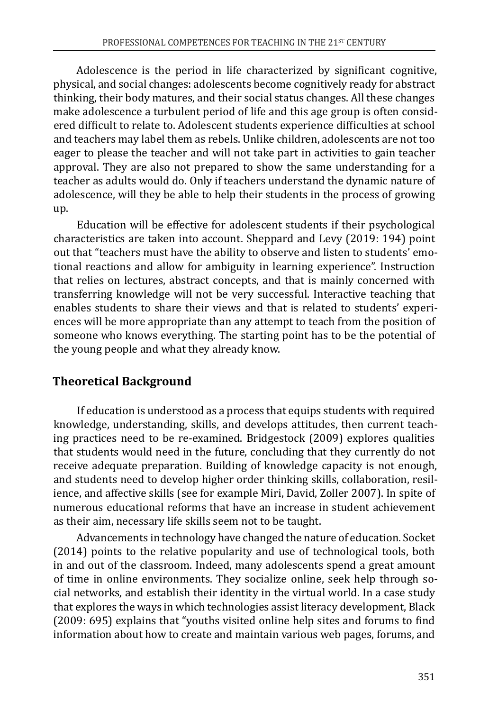Adolescence is the period in life characterized by significant cognitive, physical, and social changes: adolescents become cognitively ready for abstract thinking, their body matures, and their social status changes. All these changes make adolescence a turbulent period of life and this age group is often considered difficult to relate to. Adolescent students experience difficulties at school and teachers may label them as rebels. Unlike children, adolescents are not too eager to please the teacher and will not take part in activities to gain teacher approval. They are also not prepared to show the same understanding for a teacher as adults would do. Only if teachers understand the dynamic nature of adolescence, will they be able to help their students in the process of growing up.

Education will be effective for adolescent students if their psychological characteristics are taken into account. Sheppard and Levy (2019: 194) point out that "teachers must have the ability to observe and listen to students' emotional reactions and allow for ambiguity in learning experience". Instruction that relies on lectures, abstract concepts, and that is mainly concerned with transferring knowledge will not be very successful. Interactive teaching that enables students to share their views and that is related to students' experiences will be more appropriate than any attempt to teach from the position of someone who knows everything. The starting point has to be the potential of the young people and what they already know.

# **Theoretical Background**

If education is understood as a process that equips students with required knowledge, understanding, skills, and develops attitudes, then current teaching practices need to be re-examined. Bridgestock (2009) explores qualities that students would need in the future, concluding that they currently do not receive adequate preparation. Building of knowledge capacity is not enough, and students need to develop higher order thinking skills, collaboration, resilience, and affective skills (see for example Miri, David, Zoller 2007). In spite of numerous educational reforms that have an increase in student achievement as their aim, necessary life skills seem not to be taught.

Advancements in technology have changed the nature of education. Socket (2014) points to the relative popularity and use of technological tools, both in and out of the classroom. Indeed, many adolescents spend a great amount of time in online environments. They socialize online, seek help through social networks, and establish their identity in the virtual world. In a case study that explores the ways in which technologies assist literacy development, Black (2009: 695) explains that "youths visited online help sites and forums to find information about how to create and maintain various web pages, forums, and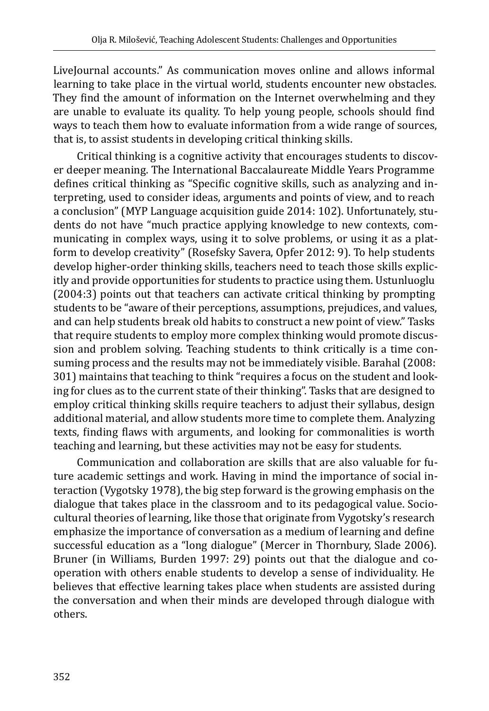LiveJournal accounts." As communication moves online and allows informal learning to take place in the virtual world, students encounter new obstacles. They find the amount of information on the Internet overwhelming and they are unable to evaluate its quality. To help young people, schools should find ways to teach them how to evaluate information from a wide range of sources, that is, to assist students in developing critical thinking skills.

Critical thinking is a cognitive activity that encourages students to discover deeper meaning. The International Baccalaureate Middle Years Programme defines critical thinking as "Specific cognitive skills, such as analyzing and interpreting, used to consider ideas, arguments and points of view, and to reach a conclusion" (MYP Language acquisition guide 2014: 102). Unfortunately, students do not have "much practice applying knowledge to new contexts, communicating in complex ways, using it to solve problems, or using it as a platform to develop creativity" (Rosefsky Savera, Opfer 2012: 9). To help students develop higher-order thinking skills, teachers need to teach those skills explicitly and provide opportunities for students to practice using them. Ustunluoglu (2004:3) points out that teachers can activate critical thinking by prompting students to be "aware of their perceptions, assumptions, prejudices, and values, and can help students break old habits to construct a new point of view." Tasks that require students to employ more complex thinking would promote discussion and problem solving. Teaching students to think critically is a time consuming process and the results may not be immediately visible. Barahal (2008: 301) maintains that teaching to think "requires a focus on the student and looking for clues as to the current state of their thinking". Tasks that are designed to employ critical thinking skills require teachers to adjust their syllabus, design additional material, and allow students more time to complete them. Analyzing texts, finding flaws with arguments, and looking for commonalities is worth teaching and learning, but these activities may not be easy for students.

Communication and collaboration are skills that are also valuable for future academic settings and work. Having in mind the importance of social interaction (Vygotsky 1978), the big step forward is the growing emphasis on the dialogue that takes place in the classroom and to its pedagogical value. Sociocultural theories of learning, like those that originate from Vygotsky's research emphasize the importance of conversation as a medium of learning and define successful education as a "long dialogue" (Mercer in Thornbury, Slade 2006). Bruner (in Williams, Burden 1997: 29) points out that the dialogue and cooperation with others enable students to develop a sense of individuality. He believes that effective learning takes place when students are assisted during the conversation and when their minds are developed through dialogue with others.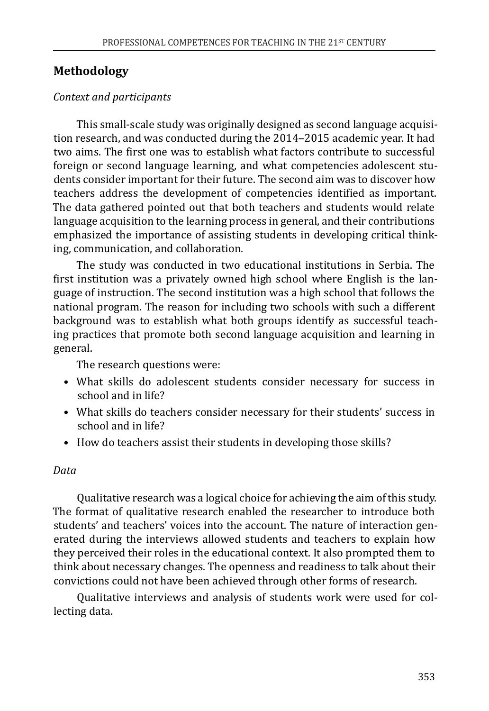# **Methodology**

## *Context and participants*

This small-scale study was originally designed as second language acquisition research, and was conducted during the 2014–2015 academic year. It had two aims. The first one was to establish what factors contribute to successful foreign or second language learning, and what competencies adolescent students consider important for their future. The second aim was to discover how teachers address the development of competencies identified as important. The data gathered pointed out that both teachers and students would relate language acquisition to the learning process in general, and their contributions emphasized the importance of assisting students in developing critical thinking, communication, and collaboration.

The study was conducted in two educational institutions in Serbia. The first institution was a privately owned high school where English is the language of instruction. The second institution was a high school that follows the national program. The reason for including two schools with such a different background was to establish what both groups identify as successful teaching practices that promote both second language acquisition and learning in general.

The research questions were:

- What skills do adolescent students consider necessary for success in school and in life?
- What skills do teachers consider necessary for their students' success in school and in life?
- How do teachers assist their students in developing those skills?

#### *Data*

Qualitative research was a logical choice for achieving the aim of this study. The format of qualitative research enabled the researcher to introduce both students' and teachers' voices into the account. The nature of interaction generated during the interviews allowed students and teachers to explain how they perceived their roles in the educational context. It also prompted them to think about necessary changes. The openness and readiness to talk about their convictions could not have been achieved through other forms of research.

Qualitative interviews and analysis of students work were used for collecting data.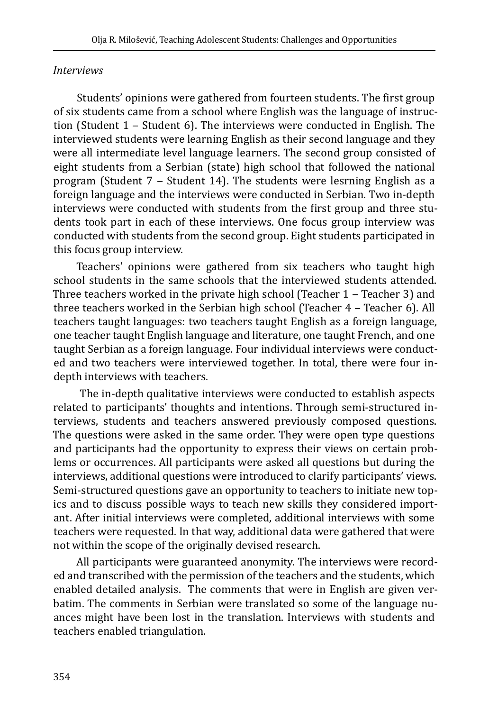#### *Interviews*

Students' opinions were gathered from fourteen students. The first group of six students came from a school where English was the language of instruction (Student  $1$  – Student 6). The interviews were conducted in English. The interviewed students were learning English as their second language and they were all intermediate level language learners. The second group consisted of eight students from a Serbian (state) high school that followed the national program (Student  $7 -$  Student 14). The students were lesrning English as a foreign language and the interviews were conducted in Serbian. Two in-depth interviews were conducted with students from the first group and three students took part in each of these interviews. One focus group interview was conducted with students from the second group. Eight students participated in this focus group interview.

Teachers' opinions were gathered from six teachers who taught high school students in the same schools that the interviewed students attended. Three teachers worked in the private high school (Teacher  $1$  – Teacher 3) and three teachers worked in the Serbian high school (Teacher  $4$  – Teacher 6). All teachers taught languages: two teachers taught English as a foreign language, one teacher taught English language and literature, one taught French, and one taught Serbian as a foreign language. Four individual interviews were conducted and two teachers were interviewed together. In total, there were four indepth interviews with teachers.

 The in-depth qualitative interviews were conducted to establish aspects related to participants' thoughts and intentions. Through semi-structured interviews, students and teachers answered previously composed questions. The questions were asked in the same order. They were open type questions and participants had the opportunity to express their views on certain problems or occurrences. All participants were asked all questions but during the interviews, additional questions were introduced to clarify participants' views. Semi-structured questions gave an opportunity to teachers to initiate new topics and to discuss possible ways to teach new skills they considered important. After initial interviews were completed, additional interviews with some teachers were requested. In that way, additional data were gathered that were not within the scope of the originally devised research.

All participants were guaranteed anonymity. The interviews were recorded and transcribed with the permission of the teachers and the students, which enabled detailed analysis. The comments that were in English are given verbatim. The comments in Serbian were translated so some of the language nuances might have been lost in the translation. Interviews with students and teachers enabled triangulation.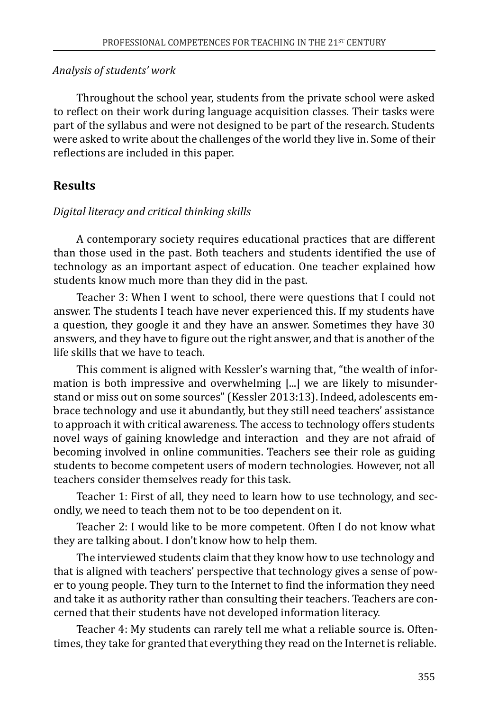#### *Analysis of students' work*

Throughout the school year, students from the private school were asked to reflect on their work during language acquisition classes. Their tasks were part of the syllabus and were not designed to be part of the research. Students were asked to write about the challenges of the world they live in. Some of their reflections are included in this paper.

# **Results**

#### *Digital literacy and critical thinking skills*

A contemporary society requires educational practices that are different than those used in the past. Both teachers and students identified the use of technology as an important aspect of education. One teacher explained how students know much more than they did in the past.

Teacher 3: When I went to school, there were questions that I could not answer. The students I teach have never experienced this. If my students have a question, they google it and they have an answer. Sometimes they have 30 answers, and they have to figure out the right answer, and that is another of the life skills that we have to teach.

This comment is aligned with Kessler's warning that, "the wealth of information is both impressive and overwhelming [...] we are likely to misunderstand or miss out on some sources" (Kessler 2013:13). Indeed, adolescents embrace technology and use it abundantly, but they still need teachers' assistance to approach it with critical awareness. The access to technology offers students novel ways of gaining knowledge and interaction and they are not afraid of becoming involved in online communities. Teachers see their role as guiding students to become competent users of modern technologies. However, not all teachers consider themselves ready for this task.

Teacher 1: First of all, they need to learn how to use technology, and secondly, we need to teach them not to be too dependent on it.

Teacher 2: I would like to be more competent. Often I do not know what they are talking about. I don't know how to help them.

The interviewed students claim that they know how to use technology and that is aligned with teachers' perspective that technology gives a sense of power to young people. They turn to the Internet to find the information they need and take it as authority rather than consulting their teachers. Teachers are concerned that their students have not developed information literacy.

Teacher 4: My students can rarely tell me what a reliable source is. Oftentimes, they take for granted that everything they read on the Internet is reliable.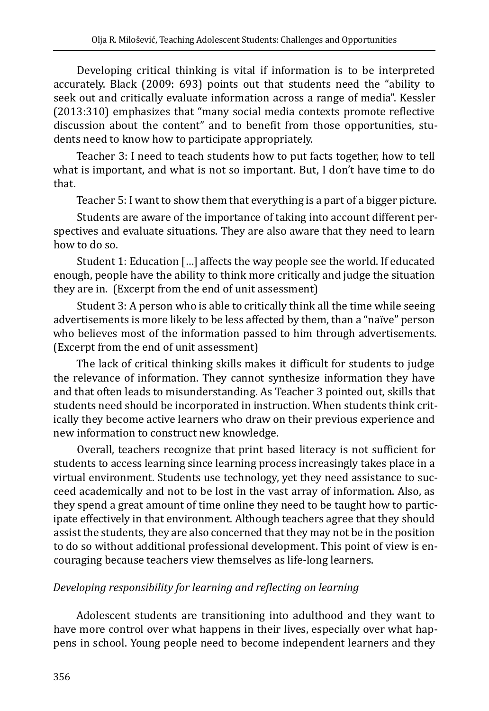Developing critical thinking is vital if information is to be interpreted accurately. Black (2009: 693) points out that students need the "ability to seek out and critically evaluate information across a range of media". Kessler (2013:310) emphasizes that "many social media contexts promote reflective discussion about the content" and to benefit from those opportunities, students need to know how to participate appropriately.

Teacher 3: I need to teach students how to put facts together, how to tell what is important, and what is not so important. But, I don't have time to do that.

Teacher 5: I want to show them that everything is a part of a bigger picture.

Students are aware of the importance of taking into account different perspectives and evaluate situations. They are also aware that they need to learn how to do so.

Student 1: Education […] affects the way people see the world. If educated enough, people have the ability to think more critically and judge the situation they are in. (Excerpt from the end of unit assessment)

Student 3: A person who is able to critically think all the time while seeing advertisements is more likely to be less affected by them, than a "naïve" person who believes most of the information passed to him through advertisements. (Excerpt from the end of unit assessment)

The lack of critical thinking skills makes it difficult for students to judge the relevance of information. They cannot synthesize information they have and that often leads to misunderstanding. As Teacher 3 pointed out, skills that students need should be incorporated in instruction. When students think critically they become active learners who draw on their previous experience and new information to construct new knowledge.

Overall, teachers recognize that print based literacy is not sufficient for students to access learning since learning process increasingly takes place in a virtual environment. Students use technology, yet they need assistance to succeed academically and not to be lost in the vast array of information. Also, as they spend a great amount of time online they need to be taught how to participate effectively in that environment. Although teachers agree that they should assist the students, they are also concerned that they may not be in the position to do so without additional professional development. This point of view is encouraging because teachers view themselves as life-long learners.

# *Developing responsibility for learning and reflecting on learning*

Adolescent students are transitioning into adulthood and they want to have more control over what happens in their lives, especially over what happens in school. Young people need to become independent learners and they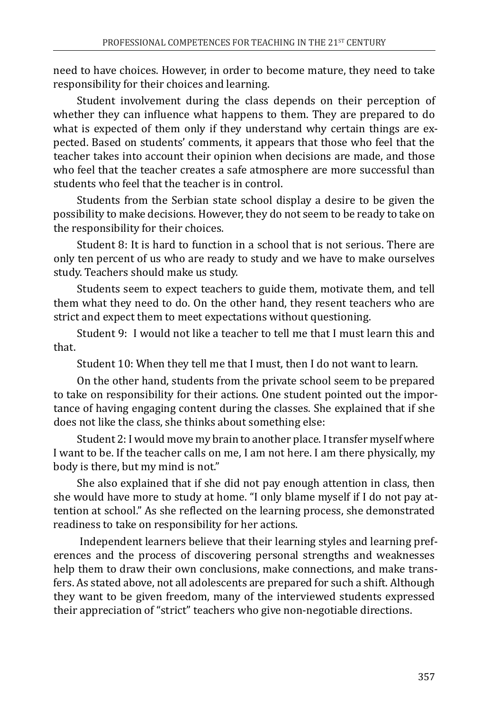need to have choices. However, in order to become mature, they need to take responsibility for their choices and learning.

Student involvement during the class depends on their perception of whether they can influence what happens to them. They are prepared to do what is expected of them only if they understand why certain things are expected. Based on students' comments, it appears that those who feel that the teacher takes into account their opinion when decisions are made, and those who feel that the teacher creates a safe atmosphere are more successful than students who feel that the teacher is in control.

Students from the Serbian state school display a desire to be given the possibility to make decisions. However, they do not seem to be ready to take on the responsibility for their choices.

Student 8: It is hard to function in a school that is not serious. There are only ten percent of us who are ready to study and we have to make ourselves study. Teachers should make us study.

Students seem to expect teachers to guide them, motivate them, and tell them what they need to do. On the other hand, they resent teachers who are strict and expect them to meet expectations without questioning.

Student 9: I would not like a teacher to tell me that I must learn this and that.

Student 10: When they tell me that I must, then I do not want to learn.

On the other hand, students from the private school seem to be prepared to take on responsibility for their actions. One student pointed out the importance of having engaging content during the classes. She explained that if she does not like the class, she thinks about something else:

Student 2: I would move my brain to another place. I transfer myself where I want to be. If the teacher calls on me, I am not here. I am there physically, my body is there, but my mind is not."

She also explained that if she did not pay enough attention in class, then she would have more to study at home. "I only blame myself if I do not pay attention at school." As she reflected on the learning process, she demonstrated readiness to take on responsibility for her actions.

 Independent learners believe that their learning styles and learning preferences and the process of discovering personal strengths and weaknesses help them to draw their own conclusions, make connections, and make transfers. As stated above, not all adolescents are prepared for such a shift. Although they want to be given freedom, many of the interviewed students expressed their appreciation of "strict" teachers who give non-negotiable directions.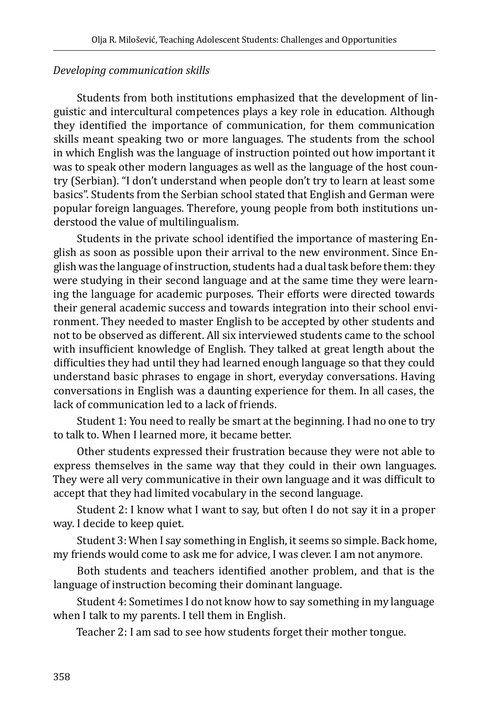## *Developing communication skills*

Students from both institutions emphasized that the development of linguistic and intercultural competences plays a key role in education. Although they identified the importance of communication, for them communication skills meant speaking two or more languages. The students from the school in which English was the language of instruction pointed out how important it was to speak other modern languages as well as the language of the host country (Serbian). "I don't understand when people don't try to learn at least some basics". Students from the Serbian school stated that English and German were popular foreign languages. Therefore, young people from both institutions understood the value of multilingualism.

Students in the private school identified the importance of mastering English as soon as possible upon their arrival to the new environment. Since English was the language of instruction, students had a dual task before them: they were studying in their second language and at the same time they were learning the language for academic purposes. Their efforts were directed towards their general academic success and towards integration into their school environment. They needed to master English to be accepted by other students and not to be observed as different. All six interviewed students came to the school with insufficient knowledge of English. They talked at great length about the difficulties they had until they had learned enough language so that they could understand basic phrases to engage in short, everyday conversations. Having conversations in English was a daunting experience for them. In all cases, the lack of communication led to a lack of friends.

Student 1: You need to really be smart at the beginning. I had no one to try to talk to. When I learned more, it became better.

Other students expressed their frustration because they were not able to express themselves in the same way that they could in their own languages. They were all very communicative in their own language and it was difficult to accept that they had limited vocabulary in the second language.

Student 2: I know what I want to say, but often I do not say it in a proper way. I decide to keep quiet.

Student 3: When I say something in English, it seems so simple. Back home, my friends would come to ask me for advice, I was clever. I am not anymore.

Both students and teachers identified another problem, and that is the language of instruction becoming their dominant language.

Student 4: Sometimes I do not know how to say something in my language when I talk to my parents. I tell them in English.

Teacher 2: I am sad to see how students forget their mother tongue.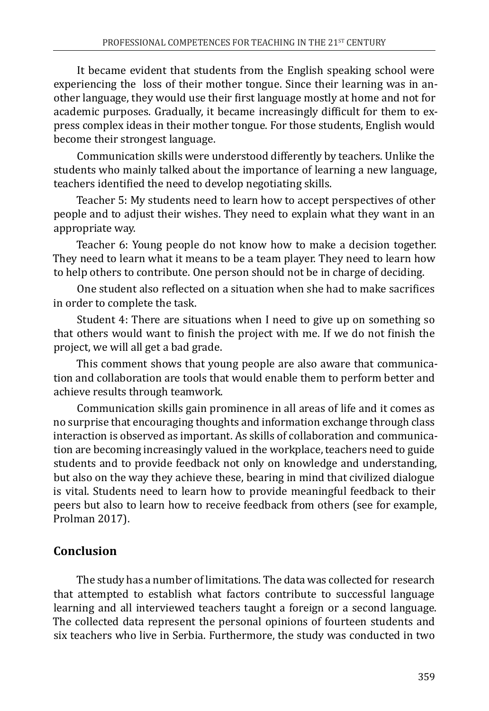It became evident that students from the English speaking school were experiencing the loss of their mother tongue. Since their learning was in another language, they would use their first language mostly at home and not for academic purposes. Gradually, it became increasingly difficult for them to express complex ideas in their mother tongue. For those students, English would become their strongest language.

Communication skills were understood differently by teachers. Unlike the students who mainly talked about the importance of learning a new language, teachers identified the need to develop negotiating skills.

Teacher 5: My students need to learn how to accept perspectives of other people and to adjust their wishes. They need to explain what they want in an appropriate way.

Teacher 6: Young people do not know how to make a decision together. They need to learn what it means to be a team player. They need to learn how to help others to contribute. One person should not be in charge of deciding.

One student also reflected on a situation when she had to make sacrifices in order to complete the task.

Student 4: There are situations when I need to give up on something so that others would want to finish the project with me. If we do not finish the project, we will all get a bad grade.

This comment shows that young people are also aware that communication and collaboration are tools that would enable them to perform better and achieve results through teamwork.

Communication skills gain prominence in all areas of life and it comes as no surprise that encouraging thoughts and information exchange through class interaction is observed as important. As skills of collaboration and communication are becoming increasingly valued in the workplace, teachers need to guide students and to provide feedback not only on knowledge and understanding, but also on the way they achieve these, bearing in mind that civilized dialogue is vital. Students need to learn how to provide meaningful feedback to their peers but also to learn how to receive feedback from others (see for example, Prolman 2017).

# **Conclusion**

The study has a number of limitations. The data was collected for research that attempted to establish what factors contribute to successful language learning and all interviewed teachers taught a foreign or a second language. The collected data represent the personal opinions of fourteen students and six teachers who live in Serbia. Furthermore, the study was conducted in two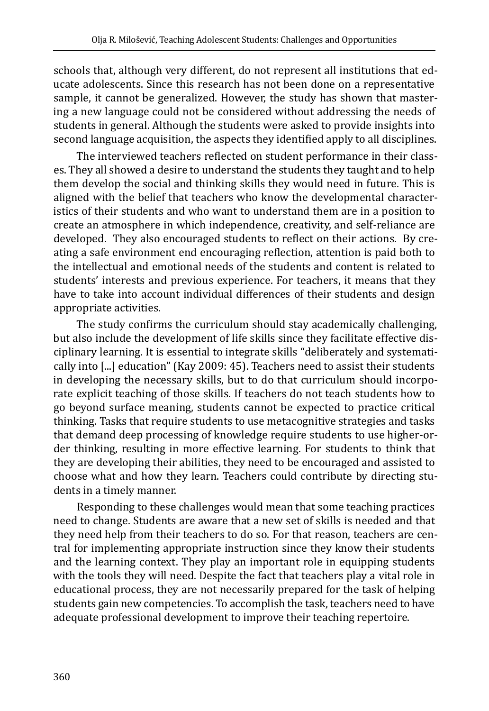schools that, although very different, do not represent all institutions that educate adolescents. Since this research has not been done on a representative sample, it cannot be generalized. However, the study has shown that mastering a new language could not be considered without addressing the needs of students in general. Although the students were asked to provide insights into second language acquisition, the aspects they identified apply to all disciplines.

The interviewed teachers reflected on student performance in their classes. They all showed a desire to understand the students they taught and to help them develop the social and thinking skills they would need in future. This is aligned with the belief that teachers who know the developmental characteristics of their students and who want to understand them are in a position to create an atmosphere in which independence, creativity, and self-reliance are developed. They also encouraged students to reflect on their actions. By creating a safe environment end encouraging reflection, attention is paid both to the intellectual and emotional needs of the students and content is related to students' interests and previous experience. For teachers, it means that they have to take into account individual differences of their students and design appropriate activities.

The study confirms the curriculum should stay academically challenging, but also include the development of life skills since they facilitate effective disciplinary learning. It is essential to integrate skills "deliberately and systematically into [...] education" (Kay 2009: 45). Teachers need to assist their students in developing the necessary skills, but to do that curriculum should incorporate explicit teaching of those skills. If teachers do not teach students how to go beyond surface meaning, students cannot be expected to practice critical thinking. Tasks that require students to use metacognitive strategies and tasks that demand deep processing of knowledge require students to use higher-order thinking, resulting in more effective learning. For students to think that they are developing their abilities, they need to be encouraged and assisted to choose what and how they learn. Teachers could contribute by directing students in a timely manner.

Responding to these challenges would mean that some teaching practices need to change. Students are aware that a new set of skills is needed and that they need help from their teachers to do so. For that reason, teachers are central for implementing appropriate instruction since they know their students and the learning context. They play an important role in equipping students with the tools they will need. Despite the fact that teachers play a vital role in educational process, they are not necessarily prepared for the task of helping students gain new competencies. To accomplish the task, teachers need to have adequate professional development to improve their teaching repertoire.